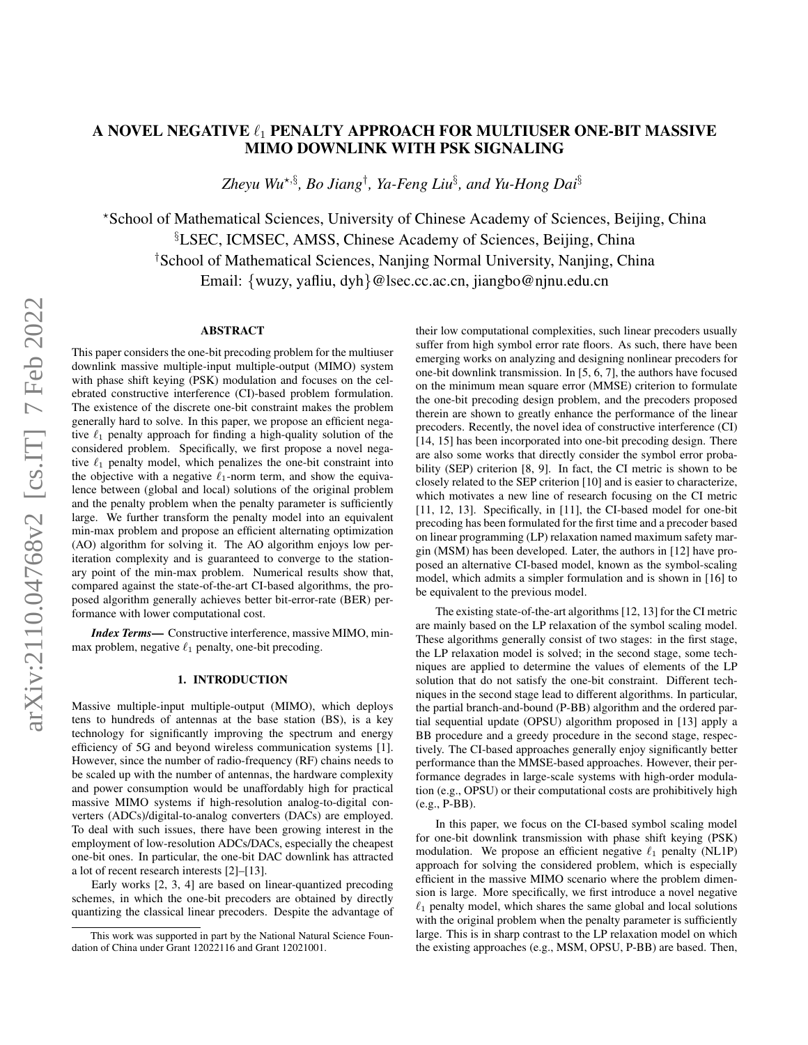# A NOVEL NEGATIVE  $\ell_1$  PENALTY APPROACH FOR MULTIUSER ONE-BIT MASSIVE MIMO DOWNLINK WITH PSK SIGNALING

*Zheyu Wu*?,§ *, Bo Jiang*† *, Ya-Feng Liu*§ *, and Yu-Hong Dai*§

?School of Mathematical Sciences, University of Chinese Academy of Sciences, Beijing, China §LSEC, ICMSEC, AMSS, Chinese Academy of Sciences, Beijing, China †School of Mathematical Sciences, Nanjing Normal University, Nanjing, China Email: {wuzy, yafliu, dyh}@lsec.cc.ac.cn, jiangbo@njnu.edu.cn

# ABSTRACT

This paper considers the one-bit precoding problem for the multiuser downlink massive multiple-input multiple-output (MIMO) system with phase shift keying (PSK) modulation and focuses on the celebrated constructive interference (CI)-based problem formulation. The existence of the discrete one-bit constraint makes the problem generally hard to solve. In this paper, we propose an efficient negative  $\ell_1$  penalty approach for finding a high-quality solution of the considered problem. Specifically, we first propose a novel negative  $\ell_1$  penalty model, which penalizes the one-bit constraint into the objective with a negative  $\ell_1$ -norm term, and show the equivalence between (global and local) solutions of the original problem and the penalty problem when the penalty parameter is sufficiently large. We further transform the penalty model into an equivalent min-max problem and propose an efficient alternating optimization (AO) algorithm for solving it. The AO algorithm enjoys low periteration complexity and is guaranteed to converge to the stationary point of the min-max problem. Numerical results show that, compared against the state-of-the-art CI-based algorithms, the proposed algorithm generally achieves better bit-error-rate (BER) performance with lower computational cost.

*Index Terms*— Constructive interference, massive MIMO, minmax problem, negative  $\ell_1$  penalty, one-bit precoding.

# 1. INTRODUCTION

Massive multiple-input multiple-output (MIMO), which deploys tens to hundreds of antennas at the base station (BS), is a key technology for significantly improving the spectrum and energy efficiency of 5G and beyond wireless communication systems [\[1\]](#page-4-0). However, since the number of radio-frequency (RF) chains needs to be scaled up with the number of antennas, the hardware complexity and power consumption would be unaffordably high for practical massive MIMO systems if high-resolution analog-to-digital converters (ADCs)/digital-to-analog converters (DACs) are employed. To deal with such issues, there have been growing interest in the employment of low-resolution ADCs/DACs, especially the cheapest one-bit ones. In particular, the one-bit DAC downlink has attracted a lot of recent research interests [\[2\]](#page-4-1)–[\[13\]](#page-4-2).

Early works [\[2,](#page-4-1) [3,](#page-4-3) [4\]](#page-4-4) are based on linear-quantized precoding schemes, in which the one-bit precoders are obtained by directly quantizing the classical linear precoders. Despite the advantage of their low computational complexities, such linear precoders usually suffer from high symbol error rate floors. As such, there have been emerging works on analyzing and designing nonlinear precoders for one-bit downlink transmission. In [\[5,](#page-4-5) [6,](#page-4-6) [7\]](#page-4-7), the authors have focused on the minimum mean square error (MMSE) criterion to formulate the one-bit precoding design problem, and the precoders proposed therein are shown to greatly enhance the performance of the linear precoders. Recently, the novel idea of constructive interference (CI) [\[14,](#page-4-8) [15\]](#page-4-9) has been incorporated into one-bit precoding design. There are also some works that directly consider the symbol error probability (SEP) criterion [\[8,](#page-4-10) [9\]](#page-4-11). In fact, the CI metric is shown to be closely related to the SEP criterion [\[10\]](#page-4-12) and is easier to characterize, which motivates a new line of research focusing on the CI metric [\[11,](#page-4-13) [12,](#page-4-14) [13\]](#page-4-2). Specifically, in [\[11\]](#page-4-13), the CI-based model for one-bit precoding has been formulated for the first time and a precoder based on linear programming (LP) relaxation named maximum safety margin (MSM) has been developed. Later, the authors in [\[12\]](#page-4-14) have proposed an alternative CI-based model, known as the symbol-scaling model, which admits a simpler formulation and is shown in [\[16\]](#page-4-15) to be equivalent to the previous model.

The existing state-of-the-art algorithms [\[12,](#page-4-14) [13\]](#page-4-2) for the CI metric are mainly based on the LP relaxation of the symbol scaling model. These algorithms generally consist of two stages: in the first stage, the LP relaxation model is solved; in the second stage, some techniques are applied to determine the values of elements of the LP solution that do not satisfy the one-bit constraint. Different techniques in the second stage lead to different algorithms. In particular, the partial branch-and-bound (P-BB) algorithm and the ordered partial sequential update (OPSU) algorithm proposed in [\[13\]](#page-4-2) apply a BB procedure and a greedy procedure in the second stage, respectively. The CI-based approaches generally enjoy significantly better performance than the MMSE-based approaches. However, their performance degrades in large-scale systems with high-order modulation (e.g., OPSU) or their computational costs are prohibitively high (e.g., P-BB).

In this paper, we focus on the CI-based symbol scaling model for one-bit downlink transmission with phase shift keying (PSK) modulation. We propose an efficient negative  $\ell_1$  penalty (NL1P) approach for solving the considered problem, which is especially efficient in the massive MIMO scenario where the problem dimension is large. More specifically, we first introduce a novel negative  $\ell_1$  penalty model, which shares the same global and local solutions with the original problem when the penalty parameter is sufficiently large. This is in sharp contrast to the LP relaxation model on which the existing approaches (e.g., MSM, OPSU, P-BB) are based. Then,

This work was supported in part by the National Natural Science Foundation of China under Grant 12022116 and Grant 12021001.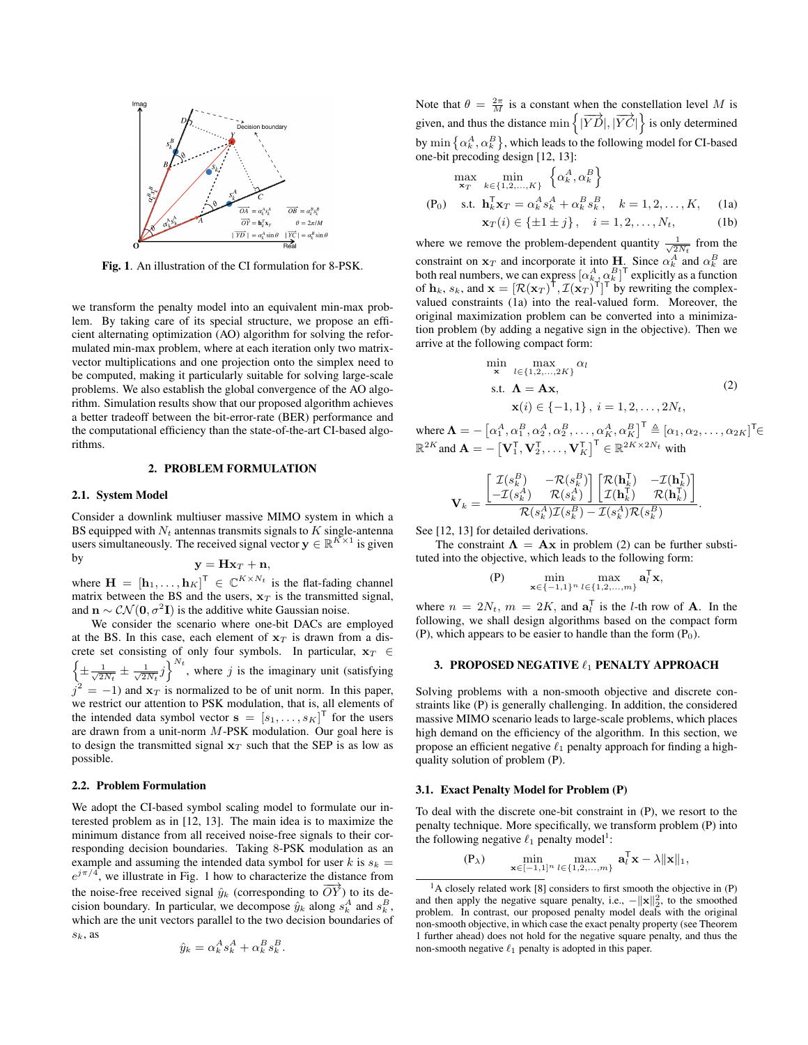

<span id="page-1-0"></span>Fig. 1. An illustration of the CI formulation for 8-PSK.

we transform the penalty model into an equivalent min-max problem. By taking care of its special structure, we propose an efficient alternating optimization (AO) algorithm for solving the reformulated min-max problem, where at each iteration only two matrixvector multiplications and one projection onto the simplex need to be computed, making it particularly suitable for solving large-scale problems. We also establish the global convergence of the AO algorithm. Simulation results show that our proposed algorithm achieves a better tradeoff between the bit-error-rate (BER) performance and the computational efficiency than the state-of-the-art CI-based algorithms.

## 2. PROBLEM FORMULATION

#### 2.1. System Model

Consider a downlink multiuser massive MIMO system in which a BS equipped with  $N_t$  antennas transmits signals to  $K$  single-antenna users simultaneously. The received signal vector  $y \in \mathbb{R}^{K \times 1}$  is given by

$$
\mathbf{y} = \mathbf{H}\mathbf{x}_T + \mathbf{n},
$$

where  $\mathbf{H} = [\mathbf{h}_1, \dots, \mathbf{h}_K]^T \in \mathbb{C}^{K \times N_t}$  is the flat-fading channel matrix between the BS and the users,  $x_T$  is the transmitted signal, and  $\mathbf{n} \sim \mathcal{CN}(\mathbf{0}, \sigma^2 \mathbf{I})$  is the additive white Gaussian noise.

We consider the scenario where one-bit DACs are employed at the BS. In this case, each element of  $x_T$  is drawn from a discrete set consisting of only four symbols. In particular,  $x_T \in$  $\left\{\pm\frac{1}{\sqrt{2N_t}}\pm\frac{1}{\sqrt{2N_t}}j\right\}^{N_t}$ , where j is the imaginary unit (satisfying  $j^2 = -1$ ) and  $\mathbf{x}_T$  is normalized to be of unit norm. In this paper, we restrict our attention to PSK modulation, that is, all elements of the intended data symbol vector  $\mathbf{s} = [s_1, \dots, s_K]^\mathsf{T}$  for the users are drawn from a unit-norm  $M$ -PSK modulation. Our goal here is to design the transmitted signal  $x_T$  such that the SEP is as low as possible.

#### 2.2. Problem Formulation

We adopt the CI-based symbol scaling model to formulate our interested problem as in [\[12,](#page-4-14) [13\]](#page-4-2). The main idea is to maximize the minimum distance from all received noise-free signals to their corresponding decision boundaries. Taking 8-PSK modulation as an example and assuming the intended data symbol for user k is  $s_k =$  $e^{j\pi/4}$ , we illustrate in Fig. [1](#page-1-0) how to characterize the distance from the noise-free received signal  $\hat{y}_k$  (corresponding to  $\overrightarrow{OY}$ ) to its decision boundary. In particular, we decompose  $\hat{y}_k$  along  $s_k^A$  and  $s_k^B$ , which are the unit vectors parallel to the two decision boundaries of  $s_k$ , as

$$
\hat{y}_k = \alpha_k^A s_k^A + \alpha_k^B s_k^B.
$$

Note that  $\theta = \frac{2\pi}{M}$  is a constant when the constellation level M is given, and thus the distance min  $\left\{ |\overrightarrow{YD}|, |\overrightarrow{YC}| \right\}$  is only determined by  $\min\left\{\alpha_k^A, \alpha_k^B\right\}$ , which leads to the following model for CI-based one-bit precoding design [\[12,](#page-4-14) [13\]](#page-4-2):

$$
\max_{\mathbf{x}_T} \min_{k \in \{1, 2, ..., K\}} \left\{ \alpha_k^A, \alpha_k^B \right\}
$$
  
(P<sub>0</sub>) s.t.  $\mathbf{h}_k^{\mathsf{T}} \mathbf{x}_T = \alpha_k^A s_k^A + \alpha_k^B s_k^B, \quad k = 1, 2, ..., K,$  (1a)  
 $\mathbf{x}_T(i) \in \{\pm 1 \pm j\}, \quad i = 1, 2, ..., N_t,$  (1b)

where we remove the problem-dependent quantity  $\frac{1}{\sqrt{2N_t}}$  from the constraint on  $x_T$  and incorporate it into **H**. Since  $\alpha_k^A$  and  $\alpha_k^B$  are both real numbers, we can express  $[\alpha_k^A, \alpha_k^B]^\mathsf{T}$  explicitly as a function of  $\mathbf{h}_k$ ,  $s_k$ , and  $\mathbf{x} = [\mathcal{R}(\mathbf{x}_T)^{\mathsf{T}}, \mathcal{I}(\mathbf{x}_T)^{\mathsf{T}}]^{\mathsf{T}}$  by rewriting the complexvalued constraints [\(1a\)](#page-1-1) into the real-valued form. Moreover, the original maximization problem can be converted into a minimization problem (by adding a negative sign in the objective). Then we arrive at the following compact form:

<span id="page-1-2"></span><span id="page-1-1"></span>
$$
\min_{\mathbf{x}} \max_{l \in \{1, 2, ..., 2K\}} \alpha_l
$$
\n
$$
\text{s.t. } \mathbf{\Lambda} = \mathbf{A}\mathbf{x},
$$
\n
$$
\mathbf{x}(i) \in \{-1, 1\}, \ i = 1, 2, ..., 2N_t,
$$
\n
$$
\sum_{l=1}^{n} \alpha_l \mathbf{x}(l) \mathbf{x}(l) \mathbf{x}(l) \mathbf{x}(l) \mathbf{x}(l) \mathbf{x}(l)
$$
\n
$$
\sum_{l=1}^{n} \alpha_l \mathbf{x}(l) \mathbf{x}(l) \mathbf{x}(l) \mathbf{x}(l)
$$
\n
$$
\sum_{l=1}^{n} \alpha_l \mathbf{x}(l) \mathbf{x}(l) \mathbf{x}(l)
$$
\n
$$
\sum_{l=1}^{n} \alpha_l \mathbf{x}(l) \mathbf{x}(l) \mathbf{x}(l)
$$
\n
$$
\sum_{l=1}^{n} \alpha_l \mathbf{x}(l) \mathbf{x}(l)
$$
\n
$$
\sum_{l=1}^{n} \alpha_l \mathbf{x}(l) \mathbf{x}(l)
$$
\n
$$
\sum_{l=1}^{n} \alpha_l \mathbf{x}(l)
$$
\n
$$
\sum_{l=1}^{n} \alpha_l \mathbf{x}(l)
$$
\n
$$
\sum_{l=1}^{n} \alpha_l \mathbf{x}(l)
$$
\n
$$
\sum_{l=1}^{n} \alpha_l \mathbf{x}(l)
$$
\n
$$
\sum_{l=1}^{n} \alpha_l \mathbf{x}(l)
$$
\n
$$
\sum_{l=1}^{n} \alpha_l \mathbf{x}(l)
$$
\n
$$
\sum_{l=1}^{n} \alpha_l \mathbf{x}(l)
$$
\n
$$
\sum_{l=1}^{n} \alpha_l \mathbf{x}(l)
$$
\n
$$
\sum_{l=1}^{n} \alpha_l \mathbf{x}(l)
$$
\n
$$
\sum_{l=1}^{n} \alpha_l \mathbf{x}(l)
$$
\n
$$
\sum_{l=1}^{n} \alpha_l \mathbf{x}(l)
$$
\n
$$
\sum_{l=1}^{n} \alpha_l \mathbf{x}(l)
$$
\n
$$
\sum_{l=1}^{n} \alpha_l \mathbf{x}(l)
$$
\n
$$
\sum_{l=1}^{n} \alpha_l \mathbf{x}(l
$$

.

where  $\mathbf{\Lambda} = -\left[ \alpha_1^A, \alpha_1^B, \alpha_2^A, \alpha_2^B, \dots, \alpha_K^A, \alpha_K^B \right]^\mathsf{T} \triangleq \left[ \alpha_1, \alpha_2, \dots, \alpha_{2K} \right]^\mathsf{T} \in$  $\mathbb{R}^{2K}$  and  $\mathbf{A} = -\left[\mathbf{V}_1^{\mathsf{T}}, \mathbf{V}_2^{\mathsf{T}}, \ldots, \mathbf{V}_K^{\mathsf{T}}\right]^{\mathsf{T}} \in \mathbb{R}^{2K \times 2N_t}$  with

$$
\mathbf{V}_k = \frac{\begin{bmatrix} \mathcal{I}(s_k^B) & -\mathcal{R}(s_k^B) \\ -\mathcal{I}(s_k^A) & \mathcal{R}(s_k^A) \end{bmatrix} \begin{bmatrix} \mathcal{R}(\mathbf{h}_k^{\mathsf{T}}) & -\mathcal{I}(\mathbf{h}_k^{\mathsf{T}}) \\ \mathcal{I}(\mathbf{h}_k^{\mathsf{T}}) & \mathcal{R}(\mathbf{h}_k^{\mathsf{T}}) \end{bmatrix}}{\mathcal{R}(s_k^A) \mathcal{I}(s_k^B) - \mathcal{I}(s_k^A) \mathcal{R}(s_k^B)}
$$

See [\[12,](#page-4-14) [13\]](#page-4-2) for detailed derivations.

The constraint  $\Lambda = Ax$  in problem [\(2\)](#page-1-2) can be further substituted into the objective, which leads to the following form:

$$
\text{(P)} \qquad \min_{\mathbf{x} \in \{-1,1\}^n} \max_{l \in \{1,2,\dots,m\}} \mathbf{a}_l^{\mathsf{T}} \mathbf{x},
$$

where  $n = 2N_t$ ,  $m = 2K$ , and  $\mathbf{a}_l^{\mathsf{T}}$  is the *l*-th row of **A**. In the following, we shall design algorithms based on the compact form (P), which appears to be easier to handle than the form  $(P_0)$ .

#### 3. PROPOSED NEGATIVE  $\ell_1$  PENALTY APPROACH

Solving problems with a non-smooth objective and discrete constraints like (P) is generally challenging. In addition, the considered massive MIMO scenario leads to large-scale problems, which places high demand on the efficiency of the algorithm. In this section, we propose an efficient negative  $\ell_1$  penalty approach for finding a highquality solution of problem (P).

## 3.1. Exact Penalty Model for Problem (P)

To deal with the discrete one-bit constraint in (P), we resort to the penalty technique. More specifically, we transform problem (P) into the following negative  $\ell_1$  $\ell_1$  penalty model<sup>1</sup>:

$$
(\mathbf{P}_{\lambda}) \qquad \min_{\mathbf{x} \in [-1,1]^n} \max_{l \in \{1,2,\ldots,m\}} \mathbf{a}_l^{\mathsf{T}} \mathbf{x} - \lambda \|\mathbf{x}\|_1,
$$

<span id="page-1-3"></span> $<sup>1</sup>A$  closely related work [\[8\]](#page-4-10) considers to first smooth the objective in (P)</sup> and then apply the negative square penalty, i.e.,  $-||\mathbf{x}||_2^2$ , to the smoothed problem. In contrast, our proposed penalty model deals with the original non-smooth objective, in which case the exact penalty property (see Theorem [1](#page-2-0) further ahead) does not hold for the negative square penalty, and thus the non-smooth negative  $\ell_1$  penalty is adopted in this paper.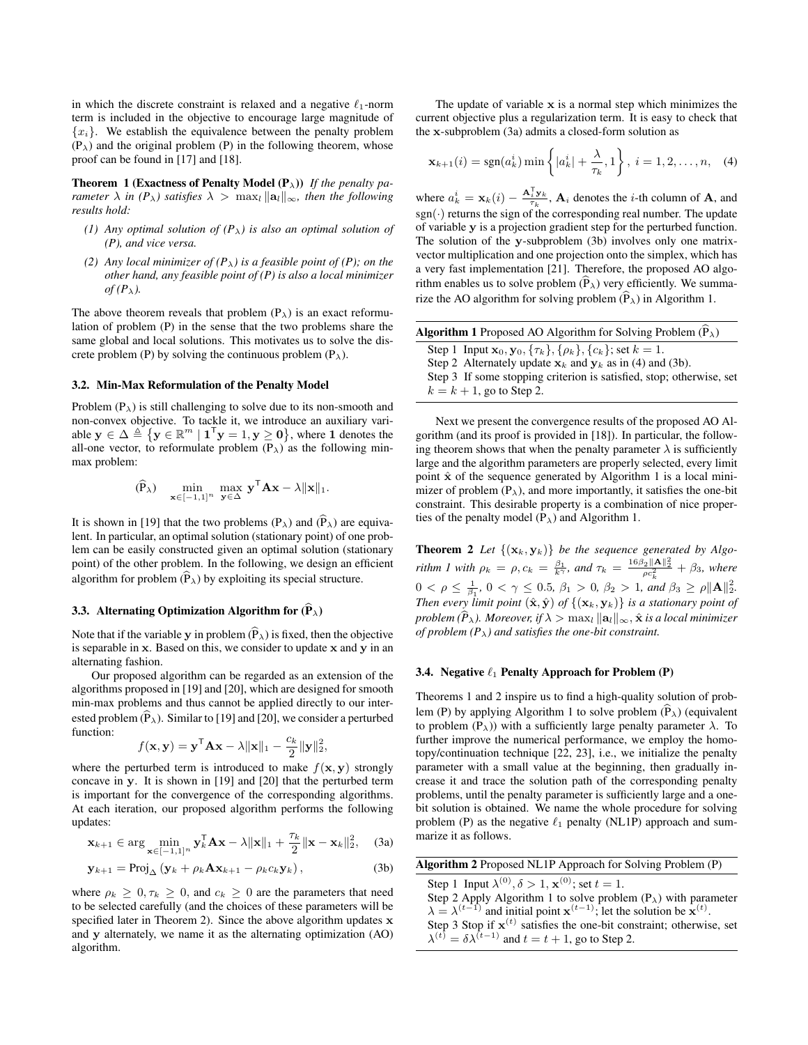in which the discrete constraint is relaxed and a negative  $\ell_1$ -norm term is included in the objective to encourage large magnitude of  ${x_i}$ . We establish the equivalence between the penalty problem  $(P_{\lambda})$  and the original problem (P) in the following theorem, whose proof can be found in [\[17\]](#page-4-16) and [\[18\]](#page-4-17).

<span id="page-2-0"></span>**Theorem 1 (Exactness of Penalty Model (P<sub>λ</sub>))** *If the penalty parameter*  $\lambda$  *in* ( $P_\lambda$ ) satisfies  $\lambda > \max_l ||a_l||_\infty$ , then the following *results hold:*

- *(1) Any optimal solution of*  $(P_\lambda)$  *is also an optimal solution of (P), and vice versa.*
- *(2) Any local minimizer of*  $(P_\lambda)$  *is a feasible point of*  $(P)$ *; on the other hand, any feasible point of (P) is also a local minimizer*  $of (P_\lambda)$ .

The above theorem reveals that problem  $(P_{\lambda})$  is an exact reformulation of problem (P) in the sense that the two problems share the same global and local solutions. This motivates us to solve the discrete problem (P) by solving the continuous problem  $(P_{\lambda})$ .

## 3.2. Min-Max Reformulation of the Penalty Model

Problem  $(P_{\lambda})$  is still challenging to solve due to its non-smooth and non-convex objective. To tackle it, we introduce an auxiliary variable  $y \in \Delta \triangleq \{y \in \mathbb{R}^m \mid \mathbf{1}^\mathsf{T} y = 1, y \geq 0\}$ , where 1 denotes the all-one vector, to reformulate problem  $(P_{\lambda})$  as the following minmax problem:

$$
(\widehat{\mathbf{P}}_{\lambda}) \quad \min_{\mathbf{x} \in [-1,1]^n} \max_{\mathbf{y} \in \Delta} \mathbf{y}^{\mathsf{T}} \mathbf{A} \mathbf{x} - \lambda \|\mathbf{x}\|_1.
$$

It is shown in [\[19\]](#page-4-18) that the two problems  $(P_\lambda)$  and  $(\widehat{P}_\lambda)$  are equivalent. In particular, an optimal solution (stationary point) of one problem can be easily constructed given an optimal solution (stationary point) of the other problem. In the following, we design an efficient algorithm for problem  $(\widehat{P}_{\lambda})$  by exploiting its special structure.

# 3.3. Alternating Optimization Algorithm for  $(\hat{P}_{\lambda})$

Note that if the variable y in problem  $(\widehat{P}_{\lambda})$  is fixed, then the objective is separable in  $x$ . Based on this, we consider to update  $x$  and  $y$  in an alternating fashion.

Our proposed algorithm can be regarded as an extension of the algorithms proposed in [\[19\]](#page-4-18) and [\[20\]](#page-4-19), which are designed for smooth min-max problems and thus cannot be applied directly to our interested problem  $(\widehat{P}_{\lambda})$ . Similar to [\[19\]](#page-4-18) and [\[20\]](#page-4-19), we consider a perturbed function:

$$
f(\mathbf{x}, \mathbf{y}) = \mathbf{y}^{\mathsf{T}} \mathbf{A} \mathbf{x} - \lambda ||\mathbf{x}||_1 - \frac{c_k}{2} ||\mathbf{y}||_2^2,
$$

where the perturbed term is introduced to make  $f(\mathbf{x}, \mathbf{y})$  strongly concave in y. It is shown in [\[19\]](#page-4-18) and [\[20\]](#page-4-19) that the perturbed term is important for the convergence of the corresponding algorithms. At each iteration, our proposed algorithm performs the following updates:

$$
\mathbf{x}_{k+1} \in \arg\min_{\mathbf{x} \in [-1,1]^n} \mathbf{y}_k^{\mathsf{T}} \mathbf{A} \mathbf{x} - \lambda \|\mathbf{x}\|_1 + \frac{\tau_k}{2} \|\mathbf{x} - \mathbf{x}_k\|_2^2, \quad \text{(3a)}
$$

$$
\mathbf{y}_{k+1} = \text{Proj}_{\Delta} \left( \mathbf{y}_k + \rho_k \mathbf{A} \mathbf{x}_{k+1} - \rho_k c_k \mathbf{y}_k \right), \tag{3b}
$$

where  $\rho_k \geq 0, \tau_k \geq 0$ , and  $c_k \geq 0$  are the parameters that need to be selected carefully (and the choices of these parameters will be specified later in Theorem [2\)](#page-2-1). Since the above algorithm updates x and y alternately, we name it as the alternating optimization (AO) algorithm.

The update of variable  $x$  is a normal step which minimizes the current objective plus a regularization term. It is easy to check that the x-subproblem [\(3a\)](#page-2-2) admits a closed-form solution as

<span id="page-2-5"></span>
$$
\mathbf{x}_{k+1}(i) = \text{sgn}(a_k^i) \min \left\{ |a_k^i| + \frac{\lambda}{\tau_k}, 1 \right\}, \ i = 1, 2, \dots, n, \quad (4)
$$

where  $a_k^i = \mathbf{x}_k(i) - \frac{\mathbf{A}_i^{\mathrm{T}} \mathbf{y}_k}{\tau_k}$ ,  $\mathbf{A}_i$  denotes the *i*-th column of  $\mathbf{A}$ , and  $sgn(\cdot)$  returns the sign of the corresponding real number. The update of variable y is a projection gradient step for the perturbed function. The solution of the y-subproblem [\(3b\)](#page-2-3) involves only one matrixvector multiplication and one projection onto the simplex, which has a very fast implementation [\[21\]](#page-4-20). Therefore, the proposed AO algorithm enables us to solve problem  $(\widehat{P}_{\lambda})$  very efficiently. We summarize the AO algorithm for solving problem  $(\widehat{P}_{\lambda})$  in Algorithm [1.](#page-2-4)

<span id="page-2-4"></span>

| <b>Algorithm 1</b> Proposed AO Algorithm for Solving Problem $(P_{\lambda})$               |  |
|--------------------------------------------------------------------------------------------|--|
| Step 1 Input $\mathbf{x}_0, \mathbf{y}_0, \{\tau_k\}, \{\rho_k\}, \{c_k\}$ ; set $k = 1$ . |  |
| Step 2 Alternately update $x_k$ and $y_k$ as in (4) and (3b).                              |  |
| Step 3 If some stopping criterion is satisfied, stop; otherwise, set                       |  |
| $k = k + 1$ , go to Step 2.                                                                |  |

Next we present the convergence results of the proposed AO Algorithm (and its proof is provided in [\[18\]](#page-4-17)). In particular, the following theorem shows that when the penalty parameter  $\lambda$  is sufficiently large and the algorithm parameters are properly selected, every limit point  $\hat{x}$  of the sequence generated by Algorithm [1](#page-2-4) is a local minimizer of problem  $(P_{\lambda})$ , and more importantly, it satisfies the one-bit constraint. This desirable property is a combination of nice properties of the penalty model  $(P_{\lambda})$  and Algorithm [1.](#page-2-4)

<span id="page-2-1"></span>**Theorem 2** Let  $\{(\mathbf{x}_k, \mathbf{y}_k)\}\$  be the sequence generated by Algo*rithm 1* with  $\rho_k = \rho$ ,  $c_k = \frac{\beta_1}{k^{\gamma}}$ , and  $\tau_k = \frac{16\beta_2 ||A||_2^2}{\rho c_k^2} + \beta_3$ , where  $0 < \rho \leq \frac{1}{\beta_1}, 0 < \gamma \leq 0.5, \beta_1 > 0, \beta_2 > 1, \text{ and } \beta_3 \geq \rho \|\mathbf{A}\|_2^2.$ *Then every limit point*  $(\hat{\mathbf{x}}, \hat{\mathbf{y}})$  *of*  $\{(\mathbf{x}_k, \mathbf{y}_k)\}$  *is a stationary point of problem*  $(\hat{P}_\lambda)$ . Moreover, if  $\lambda > \max_l ||\mathbf{a}_l||_\infty$ ,  $\hat{\mathbf{x}}$  *is a local minimizer of problem (P*λ*) and satisfies the one-bit constraint.*

#### 3.4. Negative  $\ell_1$  Penalty Approach for Problem (P)

Theorems [1](#page-2-0) and [2](#page-2-1) inspire us to find a high-quality solution of prob-lem (P) by applying Algorithm [1](#page-2-4) to solve problem  $(\hat{P}_{\lambda})$  (equivalent to problem  $(P_{\lambda})$ ) with a sufficiently large penalty parameter  $\lambda$ . To further improve the numerical performance, we employ the homotopy/continuation technique [\[22,](#page-4-21) [23\]](#page-4-22), i.e., we initialize the penalty parameter with a small value at the beginning, then gradually increase it and trace the solution path of the corresponding penalty problems, until the penalty parameter is sufficiently large and a onebit solution is obtained. We name the whole procedure for solving problem (P) as the negative  $\ell_1$  penalty (NL1P) approach and summarize it as follows.

<span id="page-2-6"></span><span id="page-2-3"></span><span id="page-2-2"></span>

| <b>Algorithm 2</b> Proposed NL1P Approach for Solving Problem (P)                                                                                           |
|-------------------------------------------------------------------------------------------------------------------------------------------------------------|
| Step 1 Input $\lambda^{(0)}, \delta > 1$ , $\mathbf{x}^{(0)}$ ; set $t = 1$ .                                                                               |
| Step 2 Apply Algorithm 1 to solve problem $(P_{\lambda})$ with parameter                                                                                    |
| $\lambda = \lambda^{(t-1)}$ and initial point $\mathbf{x}^{(t-1)}$ ; let the solution be $\mathbf{x}^{(t)}$ .                                               |
|                                                                                                                                                             |
| Step 3 Stop if $\mathbf{x}^{(t)}$ satisfies the one-bit constraint; otherwise, set $\lambda^{(t)} = \delta \lambda^{(t-1)}$ and $t = t + 1$ , go to Step 2. |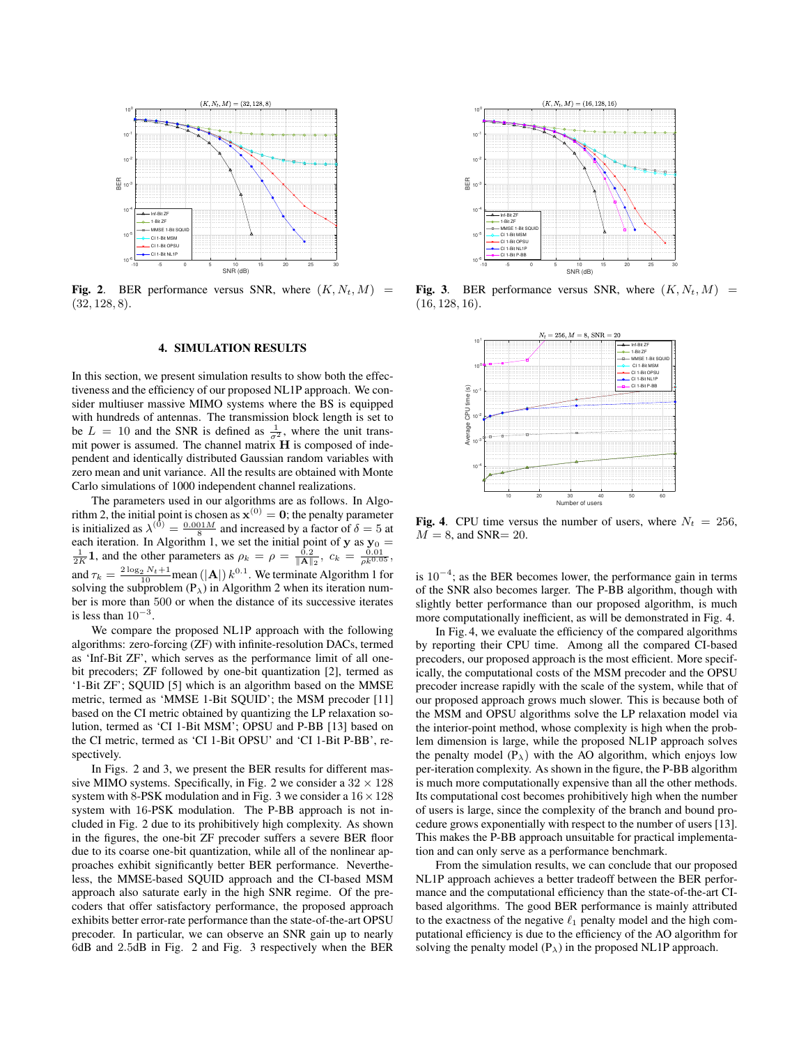

<span id="page-3-0"></span>Fig. 2. BER performance versus SNR, where  $(K, N_t, M)$  = (32, 128, 8).

# 4. SIMULATION RESULTS

In this section, we present simulation results to show both the effectiveness and the efficiency of our proposed NL1P approach. We consider multiuser massive MIMO systems where the BS is equipped with hundreds of antennas. The transmission block length is set to be  $L = 10$  and the SNR is defined as  $\frac{1}{\sigma^2}$ , where the unit transmit power is assumed. The channel matrix  $H$  is composed of independent and identically distributed Gaussian random variables with zero mean and unit variance. All the results are obtained with Monte Carlo simulations of 1000 independent channel realizations.

The parameters used in our algorithms are as follows. In Algo-rithm [2,](#page-2-6) the initial point is chosen as  $\mathbf{x}^{(0)} = \mathbf{0}$ ; the penalty parameter is initialized as  $\lambda^{(0)} = \frac{0.001M}{8}$  and increased by a factor of  $\delta = 5$  at each iteration. In Algorithm [1,](#page-2-4) we set the initial point of **y** as  $y_0 = \frac{1}{2K}$  **1**, and the other parameters as  $\rho_k = \rho = \frac{0.2}{\|\mathbf{A}\|_2}$ ,  $c_k = \frac{0.01}{\rho k^{0.05}}$ , and  $\tau_k = \frac{2 \log_2 N_t + 1}{10}$  $\tau_k = \frac{2 \log_2 N_t + 1}{10}$  $\tau_k = \frac{2 \log_2 N_t + 1}{10}$  mean (|A|)  $k^{0.1}$ . We terminate Algorithm 1 for solving the subproblem  $(P_{\lambda})$  in Algorithm [2](#page-2-6) when its iteration number is more than 500 or when the distance of its successive iterates is less than  $10^{-3}$ .

We compare the proposed NL1P approach with the following algorithms: zero-forcing (ZF) with infinite-resolution DACs, termed as 'Inf-Bit ZF', which serves as the performance limit of all onebit precoders; ZF followed by one-bit quantization [\[2\]](#page-4-1), termed as '1-Bit ZF'; SQUID [\[5\]](#page-4-5) which is an algorithm based on the MMSE metric, termed as 'MMSE 1-Bit SQUID'; the MSM precoder [\[11\]](#page-4-13) based on the CI metric obtained by quantizing the LP relaxation solution, termed as 'CI 1-Bit MSM'; OPSU and P-BB [\[13\]](#page-4-2) based on the CI metric, termed as 'CI 1-Bit OPSU' and 'CI 1-Bit P-BB', respectively.

In Figs. [2](#page-3-0) and [3,](#page-3-1) we present the BER results for different mas-sive MIMO systems. Specifically, in Fig. [2](#page-3-0) we consider a  $32 \times 128$ system with 8-PSK modulation and in Fig. [3](#page-3-1) we consider a  $16 \times 128$ system with 16-PSK modulation. The P-BB approach is not included in Fig. [2](#page-3-0) due to its prohibitively high complexity. As shown in the figures, the one-bit ZF precoder suffers a severe BER floor due to its coarse one-bit quantization, while all of the nonlinear approaches exhibit significantly better BER performance. Nevertheless, the MMSE-based SQUID approach and the CI-based MSM approach also saturate early in the high SNR regime. Of the precoders that offer satisfactory performance, the proposed approach exhibits better error-rate performance than the state-of-the-art OPSU precoder. In particular, we can observe an SNR gain up to nearly 6dB and 2.5dB in Fig. [2](#page-3-0) and Fig. [3](#page-3-1) respectively when the BER



Fig. 3. BER performance versus SNR, where  $(K, N_t, M)$  = (16, 128, 16).

<span id="page-3-1"></span>

<span id="page-3-2"></span>Fig. 4. CPU time versus the number of users, where  $N_t = 256$ ,  $M = 8$ , and SNR= 20.

is  $10^{-4}$ ; as the BER becomes lower, the performance gain in terms of the SNR also becomes larger. The P-BB algorithm, though with slightly better performance than our proposed algorithm, is much more computationally inefficient, as will be demonstrated in Fig. [4.](#page-3-2)

In Fig. [4,](#page-3-2) we evaluate the efficiency of the compared algorithms by reporting their CPU time. Among all the compared CI-based precoders, our proposed approach is the most efficient. More specifically, the computational costs of the MSM precoder and the OPSU precoder increase rapidly with the scale of the system, while that of our proposed approach grows much slower. This is because both of the MSM and OPSU algorithms solve the LP relaxation model via the interior-point method, whose complexity is high when the problem dimension is large, while the proposed NL1P approach solves the penalty model  $(P_{\lambda})$  with the AO algorithm, which enjoys low per-iteration complexity. As shown in the figure, the P-BB algorithm is much more computationally expensive than all the other methods. Its computational cost becomes prohibitively high when the number of users is large, since the complexity of the branch and bound procedure grows exponentially with respect to the number of users [\[13\]](#page-4-2). This makes the P-BB approach unsuitable for practical implementation and can only serve as a performance benchmark.

From the simulation results, we can conclude that our proposed NL1P approach achieves a better tradeoff between the BER performance and the computational efficiency than the state-of-the-art CIbased algorithms. The good BER performance is mainly attributed to the exactness of the negative  $\ell_1$  penalty model and the high computational efficiency is due to the efficiency of the AO algorithm for solving the penalty model  $(P_{\lambda})$  in the proposed NL1P approach.